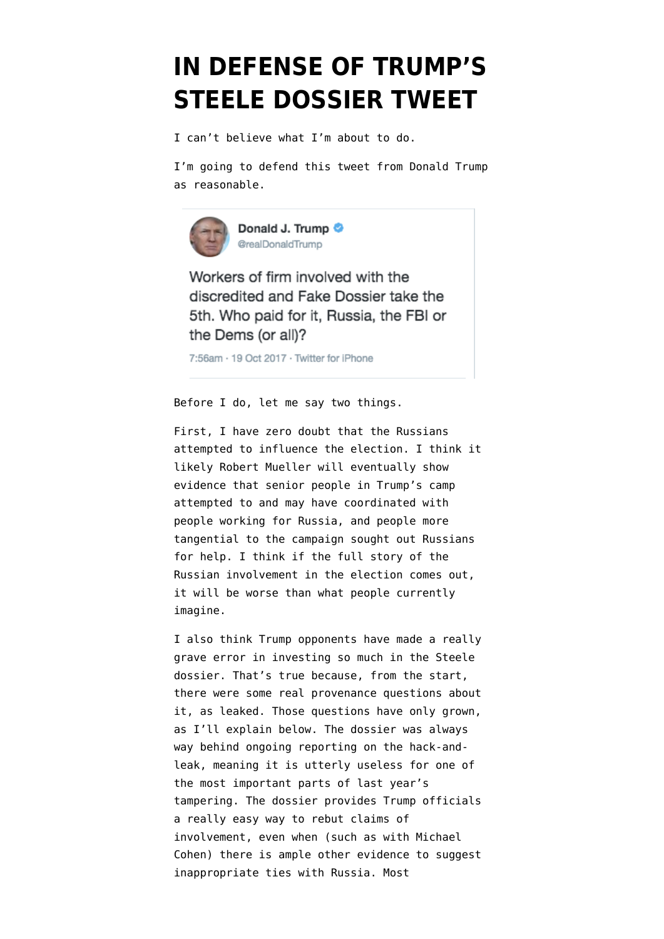# **[IN DEFENSE OF TRUMP'S](https://www.emptywheel.net/2017/10/19/in-defense-of-a-trump-tweet/) [STEELE DOSSIER TWEET](https://www.emptywheel.net/2017/10/19/in-defense-of-a-trump-tweet/)**

I can't believe what I'm about to do.

I'm going to defend [this tweet](https://twitter.com/realDonaldTrump/status/920981920787386368) from Donald Trump as reasonable.



Workers of firm involved with the discredited and Fake Dossier take the 5th. Who paid for it, Russia, the FBI or the Dems (or all)?

7:56am · 19 Oct 2017 · Twitter for iPhone

Before I do, let me say two things.

First, I have zero doubt that the Russians attempted to influence the election. I think it likely Robert Mueller will eventually show evidence that senior people in Trump's camp attempted to and may have coordinated with people working for Russia, and people more tangential to the campaign sought out Russians for help. I think if the full story of the Russian involvement in the election comes out, it will be worse than what people currently imagine.

I also think Trump opponents have made a really grave error in investing so much in the Steele dossier. That's true because, from the start, there were [some real provenance questions](https://www.emptywheel.net/2017/01/13/the-released-dossier-is-not-the-complete-dossier/) about it, as leaked. Those questions have only grown, as I'll explain below. The dossier was always way behind ongoing reporting on the hack-andleak, meaning it is utterly useless for one of the most important parts of last year's tampering. The dossier provides Trump officials a [really easy way to rebut claims](https://www.emptywheel.net/2017/08/31/trumps-lawyer-i-did-not-go-to-prague-i-did-not-go-to-prague-i-did-not-go-to-prague-i-did-not-go-to-prague/) of involvement, even when (such as with Michael Cohen) there is ample other evidence to suggest inappropriate ties with Russia. Most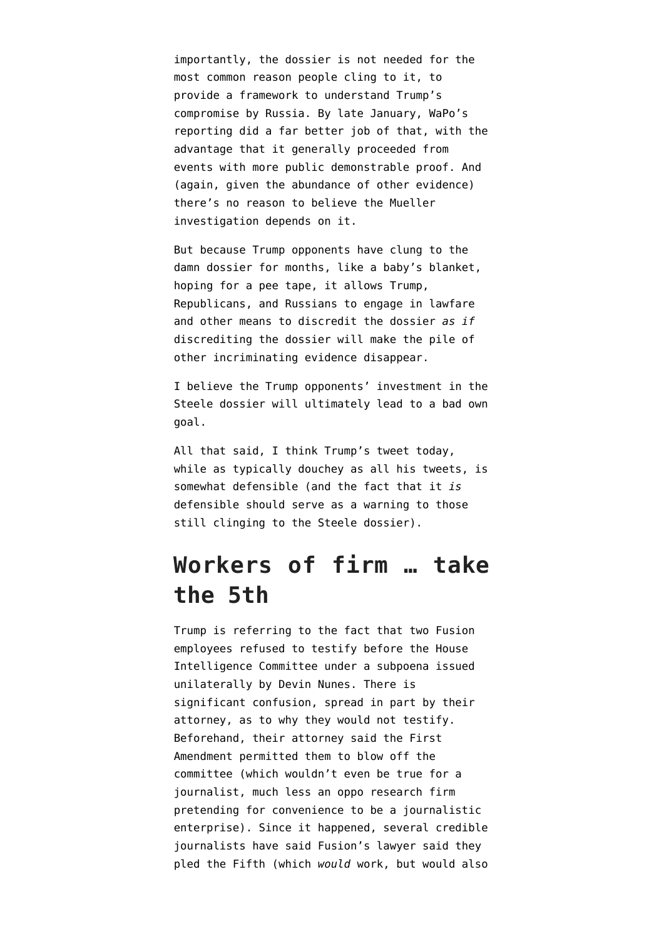importantly, the dossier is not needed for the [most common reason people cling to it](https://www.emptywheel.net/2017/09/06/john-siphers-garbage-post-arguing-the-steele-dossier-isnt-garbage/), to provide a framework to understand Trump's compromise by Russia. By late January, WaPo's reporting did a far better job of that, with the advantage that it generally proceeded from events with more public demonstrable proof. And (again, given the abundance of other evidence) there's no reason to believe the Mueller investigation depends on it.

But because Trump opponents have clung to the damn dossier for months, like a baby's blanket, hoping for a pee tape, it allows Trump, Republicans, and Russians to engage in [lawfare](https://www.emptywheel.net/2017/09/03/on-the-lawfare-surrounding-the-steele-dossier/) and other means to discredit the dossier *as if* discrediting the dossier will make the pile of other incriminating evidence disappear.

I believe the Trump opponents' investment in the Steele dossier will ultimately lead to a bad own goal.

All that said, I think Trump's tweet today, while as typically douchey as all his tweets, is somewhat defensible (and the fact that it *is* defensible should serve as a warning to those still clinging to the Steele dossier).

# **Workers of firm … take the 5th**

Trump is referring to the fact that two Fusion employees refused to testify before the House Intelligence Committee under a subpoena issued unilaterally by Devin Nunes. There is significant confusion, spread in part by their attorney, as to why they would not testify. Beforehand, their attorney [said](http://www.cnn.com/2017/10/16/politics/fusion-gps-house-intelligence-committee-response/index.html) the First Amendment permitted them to blow off the committee (which wouldn't even be true for a journalist, much less an oppo research firm pretending for convenience to be a journalistic enterprise). Since it happened, several credible journalists have said Fusion's lawyer said they pled the Fifth (which *would* work, but would also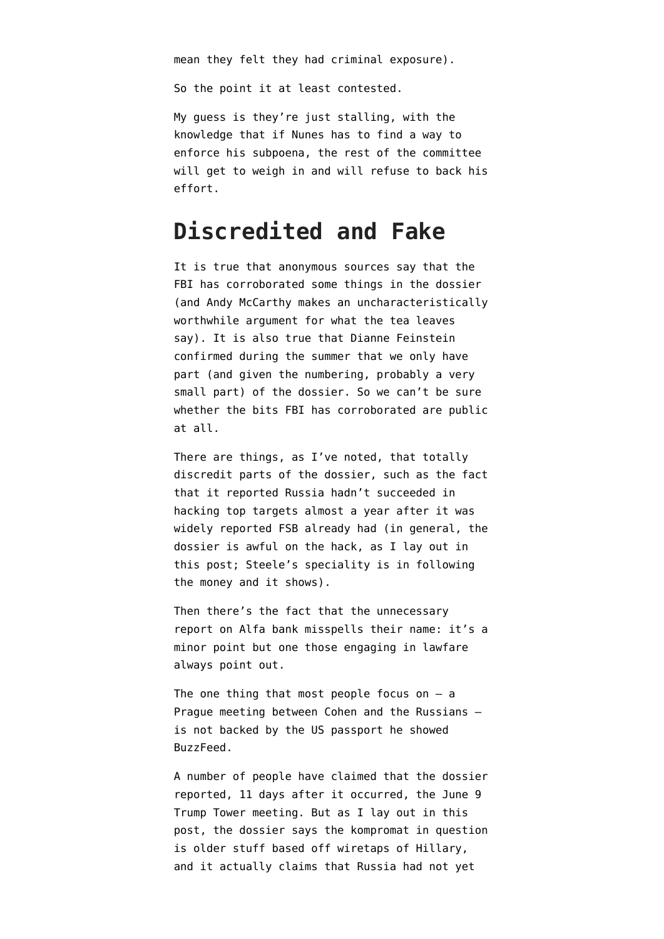mean they felt they had criminal exposure).

So the point it at least contested.

My guess is they're just stalling, with the knowledge that if Nunes has to find a way to enforce his subpoena, the rest of the committee will get to weigh in and will refuse to back his effort.

### **Discredited and Fake**

It is true that anonymous sources say that the FBI has corroborated some things in the dossier (and Andy McCarthy makes an uncharacteristically worthwhile [argument](http://www.nationalreview.com/article/452427/trump-dossier-russia-collusion-investigation) for what the tea leaves say). It is also true that Dianne Feinstein [confirmed](https://www.emptywheel.net/2017/10/09/difi-confirms-the-public-steele-dossier-is-not-the-whole-thing/) during the summer that we only have part (and given the numbering, probably a very small part) of the dossier. So we can't be sure whether the bits FBI has corroborated are public at all.

There are things, as I've noted, that totally discredit parts of the dossier, such as the fact that it reported Russia hadn't succeeded in hacking top targets almost a year after it was widely reported FSB already had (in general, the dossier is awful on the hack, as [I lay out in](https://www.emptywheel.net/2017/09/06/john-siphers-garbage-post-arguing-the-steele-dossier-isnt-garbage/) [this post;](https://www.emptywheel.net/2017/09/06/john-siphers-garbage-post-arguing-the-steele-dossier-isnt-garbage/) Steele's speciality is in following the money and it shows).

Then there's the fact that the unnecessary report on Alfa bank misspells their name: it's a minor point but one those engaging in lawfare always point out.

The one thing that most people focus on  $-$  a Prague meeting between Cohen and the Russians is not backed by the [US passport he showed](https://www.buzzfeed.com/anthonycormier/trumps-lawyer-showed-you-the-cover-of-his-passport-heres#.jlVqDJDMo) [BuzzFeed.](https://www.buzzfeed.com/anthonycormier/trumps-lawyer-showed-you-the-cover-of-his-passport-heres#.jlVqDJDMo)

A number of people have claimed that the dossier reported, 11 days after it occurred, the June 9 Trump Tower meeting. But as I lay out in [this](https://www.emptywheel.net/2017/07/15/akmetshins-involvement-and-the-trump-dossier/) [post](https://www.emptywheel.net/2017/07/15/akmetshins-involvement-and-the-trump-dossier/), the dossier says the kompromat in question is older stuff based off wiretaps of Hillary, and it actually claims that Russia had not yet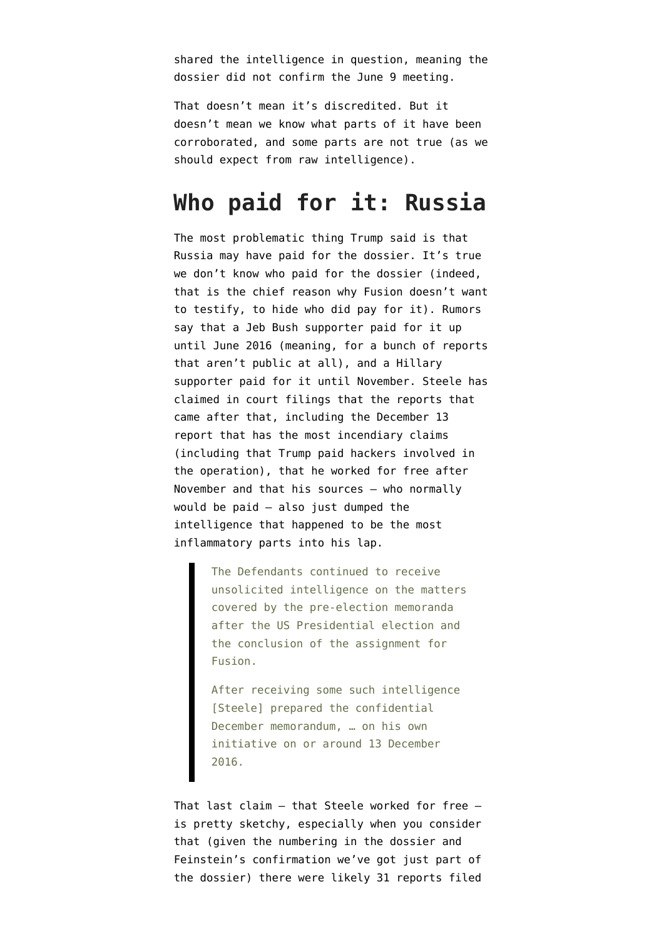shared the intelligence in question, meaning the dossier did not confirm the June 9 meeting.

That doesn't mean it's discredited. But it doesn't mean we know what parts of it have been corroborated, and some parts are not true (as we should expect from raw intelligence).

### **Who paid for it: Russia**

The most problematic thing Trump said is that Russia may have paid for the dossier. It's true we don't know who paid for the dossier (indeed, that is the chief reason why Fusion doesn't want to testify, to hide who did pay for it). Rumors say that a Jeb Bush supporter paid for it up until June 2016 (meaning, for a bunch of reports that aren't public at all), and a Hillary supporter paid for it until November. Steele has [claimed in court filings](http://media.washtimes.com.s3.amazonaws.com/media/misc/2017/04/26/Steeles_Defence_in_London_Action.pdf) that the reports that came after that, including the December 13 report that has the most incendiary claims (including that Trump paid hackers involved in the operation), that he worked for free after November and that his sources — who normally would be paid — also just dumped the intelligence that happened to be the most inflammatory parts into his lap.

> The Defendants continued to receive unsolicited intelligence on the matters covered by the pre-election memoranda after the US Presidential election and the conclusion of the assignment for Fusion.

After receiving some such intelligence [Steele] prepared the confidential December memorandum, … on his own initiative on or around 13 December 2016.

That last claim — that Steele worked for free is pretty sketchy, especially when you consider that (given the numbering in [the dossier](https://www.documentcloud.org/documents/3259984-Trump-Intelligence-Allegations.html) and Feinstein's confirmation we've got just part of the dossier) there were likely 31 reports filed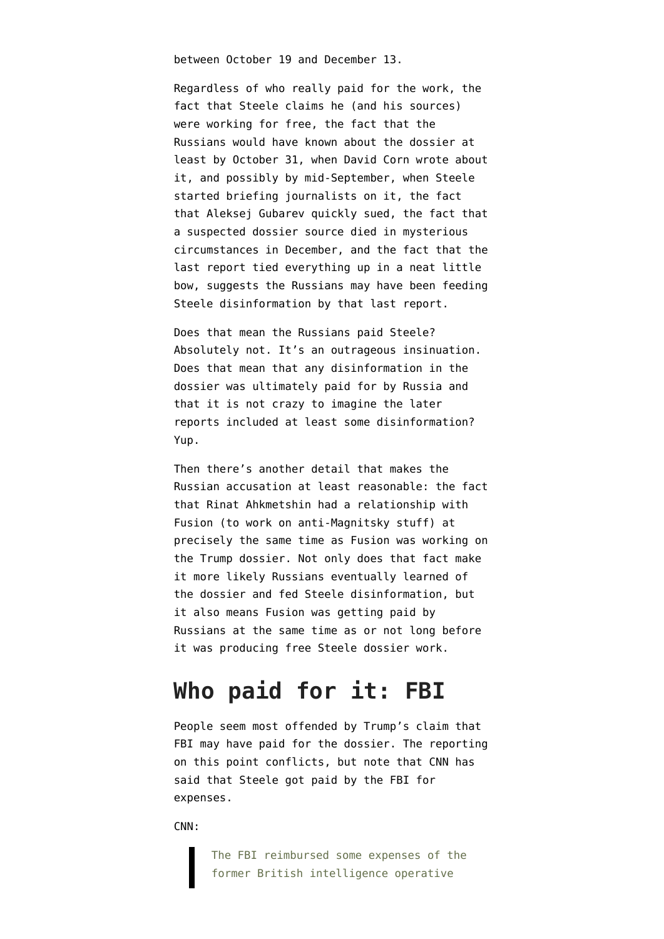between October 19 and December 13.

Regardless of who really paid for the work, the fact that Steele claims he (and his sources) were working for free, the fact that the Russians would have known about the dossier at least by October 31, when David Corn [wrote about](http://www.motherjones.com/politics/2016/10/veteran-spy-gave-fbi-info-alleging-russian-operation-cultivate-donald-trump/) [it,](http://www.motherjones.com/politics/2016/10/veteran-spy-gave-fbi-info-alleging-russian-operation-cultivate-donald-trump/) and possibly by mid-September, when Steele started briefing journalists on it, the fact that Aleksej Gubarev quickly sued, the fact that a suspected dossier source [died in mysterious](https://cgrozev.wordpress.com/2017/01/14/tower-of-cards-part-1/) [circumstances in December,](https://cgrozev.wordpress.com/2017/01/14/tower-of-cards-part-1/) and the fact that the last report tied everything up in a neat little bow, suggests the Russians may have been feeding Steele disinformation by that last report.

Does that mean the Russians paid Steele? Absolutely not. It's an outrageous insinuation. Does that mean that any disinformation in the dossier was ultimately paid for by Russia and that it is not crazy to imagine the later reports included at least some disinformation? Yup.

Then there's another detail that makes the Russian accusation at least reasonable: the fact that Rinat Ahkmetshin had a relationship with Fusion (to work on anti-Magnitsky stuff) at precisely the same time as Fusion was working on the Trump dossier. Not only does that fact make it more likely Russians eventually learned of the dossier and fed Steele disinformation, but it also means Fusion was getting paid by Russians at the same time as or not long before it was producing free Steele dossier work.

# **Who paid for it: FBI**

People seem most offended by Trump's claim that FBI may have paid for the dossier. The reporting on this point conflicts, but note that CNN has said that Steele got paid by the FBI for expenses.

[CNN:](http://www.cnn.com/2017/02/28/politics/christopher-steele-fbi-expenses/index.html)

The FBI reimbursed some expenses of the former British intelligence operative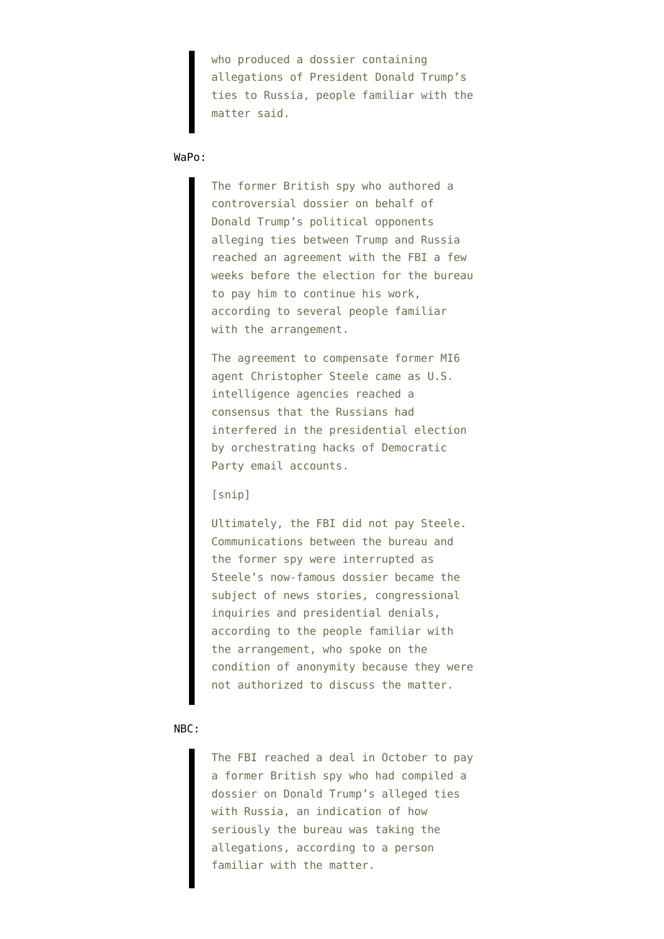who produced a dossier containing allegations of President Donald Trump's ties to Russia, people familiar with the matter said.

#### [WaPo](https://www.washingtonpost.com/politics/fbi-once-planned-to-pay-former-british-spy-who-authored-controversial-trump-dossier/2017/02/28/896ab470-facc-11e6-9845-576c69081518_story.html?hpid=hp_no-name_no-name%3Apage%2Fbreaking-news-bar&tid=a_breakingnews&utm_term=.1a628f74efa6):

The former British spy who authored a controversial dossier on behalf of Donald Trump's political opponents alleging ties between Trump and Russia reached an agreement with the FBI a few weeks before the election for the bureau to pay him to continue his work, according to several people familiar with the arrangement.

The agreement to compensate former MI6 agent Christopher Steele came as U.S. intelligence agencies reached a consensus that the Russians had interfered in the presidential election by orchestrating hacks of Democratic Party email accounts.

#### [snip]

Ultimately, the FBI did not pay Steele. Communications between the bureau and the former spy were interrupted as Steele's now-famous dossier became the subject of news stories, congressional inquiries and presidential denials, according to the people familiar with the arrangement, who spoke on the condition of anonymity because they were not authorized to discuss the matter.

#### [NBC:](https://www.nbcnews.com/news/us-news/fbi-made-deal-ex-spy-trump-dossier-n727061)

The FBI reached a deal in October to pay a former British spy who had compiled a dossier on Donald Trump's alleged ties with Russia, an indication of how seriously the bureau was taking the allegations, according to a person familiar with the matter.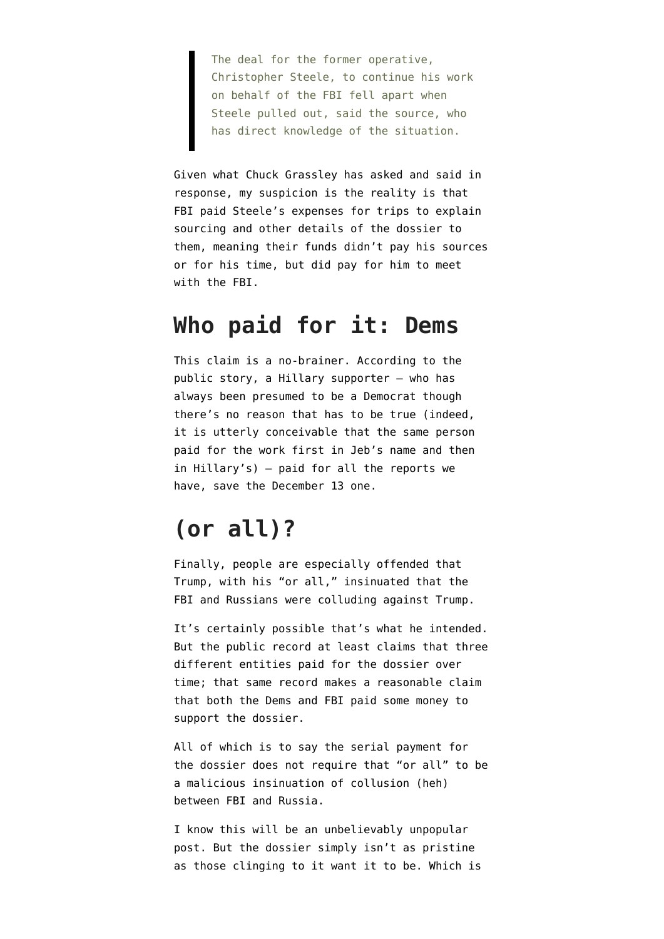The deal for the former operative, Christopher Steele, to continue his work on behalf of the FBI fell apart when Steele pulled out, said the source, who has direct knowledge of the situation.

Given what Chuck Grassley has asked and said in response, my suspicion is the reality is that FBI paid Steele's expenses for trips to explain sourcing and other details of the dossier to them, meaning their funds didn't pay his sources or for his time, but did pay for him to meet with the FBI.

### **Who paid for it: Dems**

This claim is a no-brainer. According to the public story, a Hillary supporter — who has always been presumed to be a Democrat though there's no reason that has to be true (indeed, it is utterly conceivable that the same person paid for the work first in Jeb's name and then in Hillary's) — paid for all the reports we have, save the December 13 one.

# **(or all)?**

Finally, people are especially offended that Trump, with his "or all," insinuated that the FBI and Russians were colluding against Trump.

It's certainly possible that's what he intended. But the public record at least claims that three different entities paid for the dossier over time; that same record makes a reasonable claim that both the Dems and FBI paid some money to support the dossier.

All of which is to say the serial payment for the dossier does not require that "or all" to be a malicious insinuation of collusion (heh) between FBI and Russia.

I know this will be an unbelievably unpopular post. But the dossier simply isn't as pristine as those clinging to it want it to be. Which is